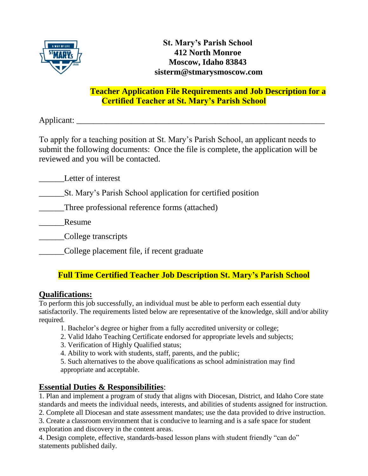

## **Teacher Application File Requirements and Job Description for a Certified Teacher at St. Mary's Parish School**

Applicant: \_\_\_\_\_\_\_\_\_\_\_\_\_\_\_\_\_\_\_\_\_\_\_\_\_\_\_\_\_\_\_\_\_\_\_\_\_\_\_\_\_\_\_\_\_\_\_\_\_\_\_\_\_\_\_\_\_\_\_

To apply for a teaching position at St. Mary's Parish School, an applicant needs to submit the following documents: Once the file is complete, the application will be reviewed and you will be contacted.

Letter of interest

\_\_\_\_\_\_St. Mary's Parish School application for certified position

\_\_\_\_\_\_Three professional reference forms (attached)

Resume

\_\_\_\_\_\_College transcripts

\_\_\_\_\_\_College placement file, if recent graduate

## **Full Time Certified Teacher Job Description St. Mary's Parish School**

## **Qualifications:**

To perform this job successfully, an individual must be able to perform each essential duty satisfactorily. The requirements listed below are representative of the knowledge, skill and/or ability required.

- 1. Bachelor's degree or higher from a fully accredited university or college;
- 2. Valid Idaho Teaching Certificate endorsed for appropriate levels and subjects;
- 3. Verification of Highly Qualified status;
- 4. Ability to work with students, staff, parents, and the public;

5. Such alternatives to the above qualifications as school administration may find appropriate and acceptable.

## **Essential Duties & Responsibilities**:

1. Plan and implement a program of study that aligns with Diocesan, District, and Idaho Core state standards and meets the individual needs, interests, and abilities of students assigned for instruction.

2. Complete all Diocesan and state assessment mandates; use the data provided to drive instruction.

3. Create a classroom environment that is conducive to learning and is a safe space for student exploration and discovery in the content areas.

4. Design complete, effective, standards-based lesson plans with student friendly "can do" statements published daily.